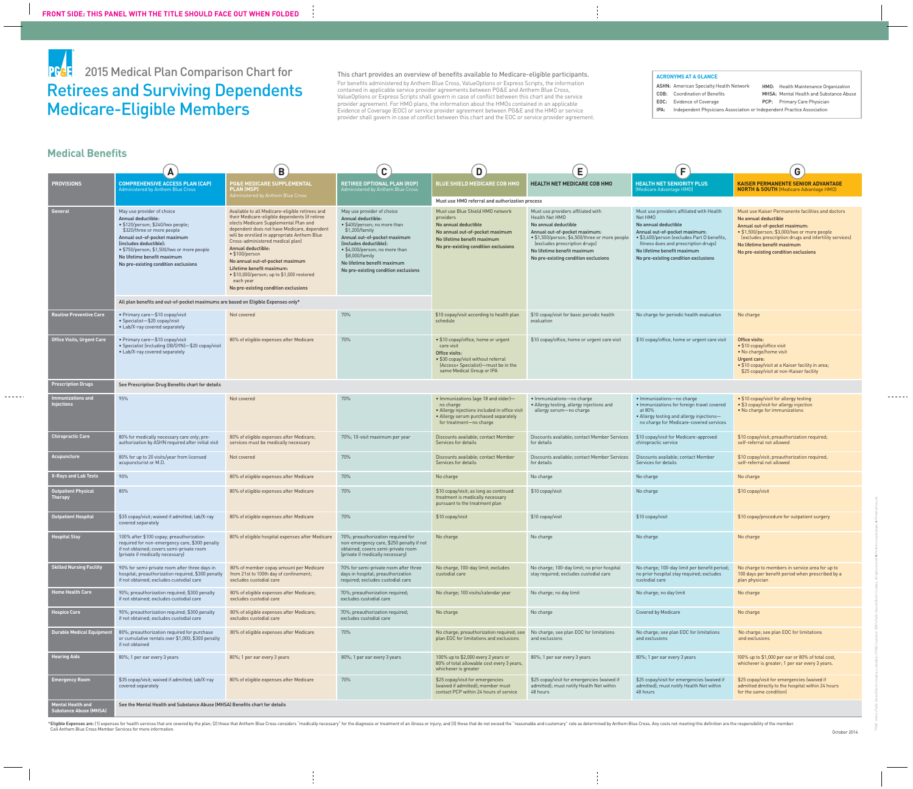Retirees and Surviving Dependents Medicare-Eligible Members PF&: 2015 Medical Plan Comparison Chart for

This chart provides an overview of benefits available to Medicare-eligible participants. For benefits administered by Anthem Blue Cross, ValueOptions or Express Scripts, the information contained in applicable service provider agreements between PG&E and Anthem Blue Cross, ValueOptions or Express Scripts shall govern in case of conflict between this chart and the service provider agreement. For HMO plans, the information about the HMOs contained in an applicable Evidence of Coverage (EOC) or service provider agreement between PG&E and the HMO or service provider shall govern in case of conflict between this chart and the EOC or service provider agreement.

HMO: Health Maintenance Organization MHSA: Mental Health and Substance Abuse PCP: Primary Care Physician

\*Eligible Expenses are: (1) expenses for health services that are covered by the plan; (2) those that Anthem Blue Cross considers "medically necessary" for the diagnosis or treatment of an illness or injury; and (3) those Call Anthem Blue Cross Member Services for more information.

|                                                                 | A                                                                                                                                                                                                                                                                                                  | $\mathbf B$                                                                                                                                                                                                                                                                                                                                                                                                                                                                                   | $\mathbf C$                                                                                                                                                                                                                                                                             | D                                                                                                                                                                               | Е                                                                                                                                                                                                                                                                       | F                                                                                                                                                                                                                                                                          | G)                                                                                                                                                                                                                                                                                          |
|-----------------------------------------------------------------|----------------------------------------------------------------------------------------------------------------------------------------------------------------------------------------------------------------------------------------------------------------------------------------------------|-----------------------------------------------------------------------------------------------------------------------------------------------------------------------------------------------------------------------------------------------------------------------------------------------------------------------------------------------------------------------------------------------------------------------------------------------------------------------------------------------|-----------------------------------------------------------------------------------------------------------------------------------------------------------------------------------------------------------------------------------------------------------------------------------------|---------------------------------------------------------------------------------------------------------------------------------------------------------------------------------|-------------------------------------------------------------------------------------------------------------------------------------------------------------------------------------------------------------------------------------------------------------------------|----------------------------------------------------------------------------------------------------------------------------------------------------------------------------------------------------------------------------------------------------------------------------|---------------------------------------------------------------------------------------------------------------------------------------------------------------------------------------------------------------------------------------------------------------------------------------------|
| <b>PROVISIONS</b>                                               | <b>COMPREHENSIVE ACCESS PLAN (CAP)</b><br>Administered by Anthem Blue Cross                                                                                                                                                                                                                        | <b>PG&amp;E MEDICARE SUPPLEMENTAL</b><br><b>PLAN (MSP)</b><br>Administered by Anthem Blue Cross                                                                                                                                                                                                                                                                                                                                                                                               | <b>RETIREE OPTIONAL PLAN (ROP)</b><br>Administered by Anthem Blue Cross                                                                                                                                                                                                                 | <b>BLUE SHIELD MEDICARE COB HMO</b>                                                                                                                                             | <b>HEALTH NET MEDICARE COB HMO</b>                                                                                                                                                                                                                                      | <b>HEALTH NET SENIORITY PLUS</b><br>Medicare Advantage HMO)                                                                                                                                                                                                                | <b>KAISER PERMANENTE SENIOR ADVANTAGE</b><br><b>NORTH &amp; SOUTH</b> (Medicare Advantage HMO)                                                                                                                                                                                              |
|                                                                 |                                                                                                                                                                                                                                                                                                    |                                                                                                                                                                                                                                                                                                                                                                                                                                                                                               |                                                                                                                                                                                                                                                                                         | Must use HMO referral and authorization process                                                                                                                                 |                                                                                                                                                                                                                                                                         |                                                                                                                                                                                                                                                                            |                                                                                                                                                                                                                                                                                             |
| <b>General</b>                                                  | May use provider of choice<br>Annual deductible:<br>· \$120/person; \$240/two people;<br>\$320/three or more people<br>Annual out-of-pocket maximum<br>(includes deductible):<br>• \$750/person; \$1,500/two or more people<br>No lifetime benefit maximum<br>No pre-existing condition exclusions | Available to all Medicare-eligible retirees and<br>their Medicare-eligible dependents (if retiree<br>elects Medicare Supplemental Plan and<br>dependent does not have Medicare, dependent<br>will be enrolled in appropriate Anthem Blue<br>Cross-administered medical plan)<br><b>Annual deductible:</b><br>• \$100/person<br>No annual out-of-pocket maximum<br>Lifetime benefit maximum:<br>• \$10,000/person; up to \$1,000 restored<br>each year<br>No pre-existing condition exclusions | May use provider of choice<br>Annual deductible:<br>• \$400/person; no more than<br>\$1,200/family<br>Annual out-of-pocket maximum<br>(includes deductible):<br>• \$4,000/person; no more than<br>\$8,000/family<br>No lifetime benefit maximum<br>No pre-existing condition exclusions | Must use Blue Shield HMO network<br>providers<br>No annual deductible<br>No annual out-of-pocket maximum<br>No lifetime benefit maximum<br>No pre-existing condition exclusions | Must use providers affiliated with<br>Health Net HMO<br>No annual deductible<br>Annual out-of-pocket maximum:<br>• \$1,500/person; \$4,500/three or more people<br>(excludes prescription drugs)<br>No lifetime benefit maximum<br>No pre-existing condition exclusions | Must use providers affiliated with Health<br>Net HMO<br>No annual deductible<br>Annual out-of-pocket maximum:<br>• \$3,400/person (excludes Part D benefits<br>fitness dues and prescription drugs)<br>No lifetime benefit maximum<br>No pre-existing condition exclusions | Must use Kaiser Permanente facilities and doctors<br>No annual deductible<br>Annual out-of-pocket maximum:<br>• \$1,500/person; \$3,000/two or more people<br>(excludes prescription drugs and infertility services)<br>No lifetime benefit maximum<br>No pre-existing condition exclusions |
|                                                                 | All plan benefits and out-of-pocket maximums are based on Eligible Expenses only*                                                                                                                                                                                                                  |                                                                                                                                                                                                                                                                                                                                                                                                                                                                                               |                                                                                                                                                                                                                                                                                         |                                                                                                                                                                                 |                                                                                                                                                                                                                                                                         |                                                                                                                                                                                                                                                                            |                                                                                                                                                                                                                                                                                             |
| <b>Routine Preventive Care</b>                                  | • Primary care-\$10 copay/visit<br>• Specialist-\$20 copay/visit<br>• Lab/X-ray covered separately                                                                                                                                                                                                 | Not covered                                                                                                                                                                                                                                                                                                                                                                                                                                                                                   | 70%                                                                                                                                                                                                                                                                                     | \$10 copay/visit according to health plan<br>schedule                                                                                                                           | \$10 copay/visit for basic periodic health<br>evaluation                                                                                                                                                                                                                | No charge for periodic health evaluation                                                                                                                                                                                                                                   | No charge                                                                                                                                                                                                                                                                                   |
| <b>Office Visits, Urgent Care</b>                               | • Primary care-\$10 copay/visit<br>• Specialist (including OB/GYN)-\$20 copay/visit<br>• Lab/X-ray covered separately                                                                                                                                                                              | 80% of eligible expenses after Medicare                                                                                                                                                                                                                                                                                                                                                                                                                                                       | 70%                                                                                                                                                                                                                                                                                     | • \$10 copay/office, home or urgent<br>care visit<br>Office visits:<br>• \$30 copay/visit without referral<br>(Access+ Specialist)—must be in the<br>same Medical Group or IPA  | \$10 copay/office, home or urgent care visit                                                                                                                                                                                                                            | \$10 copay/office, home or urgent care visit                                                                                                                                                                                                                               | Office visits:<br>• \$10 copay/office visit<br>• No charge/home visit<br>Urgent care:<br>• \$10 copay/visit at a Kaiser facility in area;<br>\$25 copay/visit at non-Kaiser facility                                                                                                        |
| <b>Prescription Drugs</b>                                       | See Prescription Drug Benefits chart for details                                                                                                                                                                                                                                                   |                                                                                                                                                                                                                                                                                                                                                                                                                                                                                               |                                                                                                                                                                                                                                                                                         |                                                                                                                                                                                 |                                                                                                                                                                                                                                                                         |                                                                                                                                                                                                                                                                            |                                                                                                                                                                                                                                                                                             |
| mmunizations and<br><b>iections</b>                             | 95%                                                                                                                                                                                                                                                                                                | Not covered                                                                                                                                                                                                                                                                                                                                                                                                                                                                                   | 70%                                                                                                                                                                                                                                                                                     | • Immunizations (age 18 and older)-<br>no charge<br>• Allergy injections included in office visit<br>. Allergy serum purchased separately<br>for treatment-no charge            | • Immunizations-no charge<br>• Allergy testing, allergy injections and<br>allergy serum-no charge                                                                                                                                                                       | • Immunizations-no charge<br>. Immunizations for foreign travel covered<br>at 80%<br>• Allergy testing and allergy injections-<br>no charge for Medicare-covered services                                                                                                  | • \$10 copay/visit for allergy testing<br>• \$3 copay/visit for allergy injection<br>• No charge for immunizations                                                                                                                                                                          |
| <b>Chiropractic Care</b>                                        | 80% for medically necessary care only; pre-<br>authorization by ASHN required after initial visit                                                                                                                                                                                                  | 80% of eligible expenses after Medicare;<br>services must be medically necessary                                                                                                                                                                                                                                                                                                                                                                                                              | 70%; 10-visit maximum per year                                                                                                                                                                                                                                                          | Discounts available; contact Member<br>Services for details                                                                                                                     | Discounts available; contact Member Services<br>for details                                                                                                                                                                                                             | \$10 copay/visit for Medicare-approved<br>chiropractic service                                                                                                                                                                                                             | \$10 copay/visit; preauthorization required;<br>self-referral not allowed                                                                                                                                                                                                                   |
| <b>Acupuncture</b>                                              | 80% for up to 20 visits/year from licensed<br>acupuncturist or M.D.                                                                                                                                                                                                                                | Not covered                                                                                                                                                                                                                                                                                                                                                                                                                                                                                   | 70%                                                                                                                                                                                                                                                                                     | Discounts available; contact Member<br>Services for details                                                                                                                     | Discounts available; contact Member Services<br>for details                                                                                                                                                                                                             | Discounts available; contact Member<br>Services for details                                                                                                                                                                                                                | \$10 copay/visit; preauthorization required;<br>self-referral not allowed                                                                                                                                                                                                                   |
| X-Rays and Lab Tests                                            | 90%                                                                                                                                                                                                                                                                                                | 80% of eligible expenses after Medicare                                                                                                                                                                                                                                                                                                                                                                                                                                                       | 70%                                                                                                                                                                                                                                                                                     | No charge                                                                                                                                                                       | No charge                                                                                                                                                                                                                                                               | No charge                                                                                                                                                                                                                                                                  | No charge                                                                                                                                                                                                                                                                                   |
| Outpatient Physical<br><b>Therapy</b>                           | 80%                                                                                                                                                                                                                                                                                                | 80% of eligible expenses after Medicare                                                                                                                                                                                                                                                                                                                                                                                                                                                       | 70%                                                                                                                                                                                                                                                                                     | \$10 copay/visit; as long as continued<br>treatment is medically necessary<br>pursuant to the treatment plan                                                                    | \$10 copay/visit                                                                                                                                                                                                                                                        | No charge                                                                                                                                                                                                                                                                  | \$10 copay/visit                                                                                                                                                                                                                                                                            |
| <b>Outpatient Hospital</b>                                      | \$35 copay/visit; waived if admitted; lab/X-ray<br>covered separately                                                                                                                                                                                                                              | 80% of eligible expenses after Medicare                                                                                                                                                                                                                                                                                                                                                                                                                                                       | 70%                                                                                                                                                                                                                                                                                     | \$10 copay/visit                                                                                                                                                                | \$10 copay/visit                                                                                                                                                                                                                                                        | \$10 copay/visit                                                                                                                                                                                                                                                           | \$10 copay/procedure for outpatient surgery                                                                                                                                                                                                                                                 |
| <b>Hospital Stay</b>                                            | 100% after \$100 copay; preauthorization<br>required for non-emergency care, \$300 penalty<br>if not obtained; covers semi-private room<br>(private if medically necessary)                                                                                                                        | 80% of eligible hospital expenses after Medicare                                                                                                                                                                                                                                                                                                                                                                                                                                              | 70%; preauthorization required for<br>non-emergency care, \$250 penalty if not<br>obtained; covers semi-private room<br>(private if medically necessary)                                                                                                                                | No charge                                                                                                                                                                       | No charge                                                                                                                                                                                                                                                               | No charge                                                                                                                                                                                                                                                                  | No charge                                                                                                                                                                                                                                                                                   |
| <b>Skilled Nursing Facility</b>                                 | 90% for semi-private room after three days in<br>hospital; preauthorization required, \$300 penalty<br>if not obtained; excludes custodial care                                                                                                                                                    | 80% of member copay amount per Medicare<br>from 21st to 100th day of confinement;<br>excludes custodial care                                                                                                                                                                                                                                                                                                                                                                                  | 70% for semi-private room after three<br>days in hospital; preauthorization<br>required; excludes custodial care                                                                                                                                                                        | No charge, 100-day limit; excludes<br>custodial care                                                                                                                            | No charge; 100-day limit; no prior hospital<br>stay required; excludes custodial care                                                                                                                                                                                   | No charge; 100-day limit per benefit period;<br>no prior hospital stay required; excludes<br>custodial care                                                                                                                                                                | No charge to members in service area for up to<br>100 days per benefit period when prescribed by a<br>plan physician                                                                                                                                                                        |
| <b>Ome Health Care</b>                                          | 90%; preauthorization required; \$300 penalty<br>if not obtained; excludes custodial care                                                                                                                                                                                                          | 80% of eligible expenses after Medicare;<br>excludes custodial care                                                                                                                                                                                                                                                                                                                                                                                                                           | 70%; preauthorization required;<br>excludes custodial care                                                                                                                                                                                                                              | No charge; 100 visits/calendar year                                                                                                                                             | No charge; no day limit                                                                                                                                                                                                                                                 | No charge; no day limit                                                                                                                                                                                                                                                    | No charge                                                                                                                                                                                                                                                                                   |
| <b>Hospice Care</b>                                             | 90%; preauthorization required; \$300 penalty<br>if not obtained; excludes custodial care                                                                                                                                                                                                          | 80% of eligible expenses after Medicare;<br>excludes custodial care                                                                                                                                                                                                                                                                                                                                                                                                                           | 70%; preauthorization required;<br>excludes custodial care                                                                                                                                                                                                                              | No charge                                                                                                                                                                       | No charge                                                                                                                                                                                                                                                               | <b>Covered by Medicare</b>                                                                                                                                                                                                                                                 | No charge                                                                                                                                                                                                                                                                                   |
| <b>Durable Medical Equipment</b>                                | 80%; preauthorization required for purchase<br>or cumulative rentals over \$1,000; \$300 penalty<br>if not obtained                                                                                                                                                                                | 80% of eligible expenses after Medicare                                                                                                                                                                                                                                                                                                                                                                                                                                                       | 70%                                                                                                                                                                                                                                                                                     | No charge; preauthorization required; see<br>plan EOC for limitations and exclusions                                                                                            | No charge; see plan EOC for limitations<br>and exclusions                                                                                                                                                                                                               | No charge; see plan EOC for limitations<br>and exclusions                                                                                                                                                                                                                  | No charge; see plan EOC for limitations<br>and exclusions                                                                                                                                                                                                                                   |
| <b>Hearing Aids</b>                                             | 80%; 1 per ear every 3 years                                                                                                                                                                                                                                                                       | 80%; 1 per ear every 3 years                                                                                                                                                                                                                                                                                                                                                                                                                                                                  | 80%; 1 per ear every 3 years                                                                                                                                                                                                                                                            | 100% up to \$2,000 every 2 years or<br>80% of total allowable cost every 3 years,<br>whichever is greater                                                                       | 80%; 1 per ear every 3 years                                                                                                                                                                                                                                            | 80%; 1 per ear every 3 years                                                                                                                                                                                                                                               | 100% up to \$1,000 per ear or 80% of total cost,<br>whichever is greater; 1 per ear every 3 years.                                                                                                                                                                                          |
| <b>Emergency Room</b>                                           | \$35 copay/visit; waived if admitted; lab/X-ray<br>covered separately                                                                                                                                                                                                                              | 80% of eligible expenses after Medicare                                                                                                                                                                                                                                                                                                                                                                                                                                                       | 70%                                                                                                                                                                                                                                                                                     | \$25 copay/visit for emergencies<br>(waived if admitted); member must<br>contact PCP within 24 hours of service                                                                 | \$25 copay/visit for emergencies (waived if<br>admitted); must notify Health Net within<br>48 hours                                                                                                                                                                     | \$25 copay/visit for emergencies (waived i<br>admitted); must notify Health Net within<br>48 hours                                                                                                                                                                         | \$25 copay/visit for emergencies (waived if<br>admitted directly to the hospital within 24 hours<br>for the same condition)                                                                                                                                                                 |
| Mental Health and <sup>1</sup><br><b>Substance Abuse (MHSA)</b> | See the Mental Health and Substance Abuse (MHSA) Benefits chart for details                                                                                                                                                                                                                        |                                                                                                                                                                                                                                                                                                                                                                                                                                                                                               |                                                                                                                                                                                                                                                                                         |                                                                                                                                                                                 |                                                                                                                                                                                                                                                                         |                                                                                                                                                                                                                                                                            |                                                                                                                                                                                                                                                                                             |

## **Medical Benefits**

## **ACRONYMS AT A GLANCE**

ASHN: American Specialty Health Network COB: Coordination of Benefits EOC: Evidence of Coverage

IPA: Independent Physicians Association or Independent Practice Association

"PG&E" refers to Pacific Gas and Electric Company, a subsidiary of PG&E Corporation. ©2014 Pacific Gas and Electric Company. All rights reserved. Printed on recycled paper. Printed with soy ink.